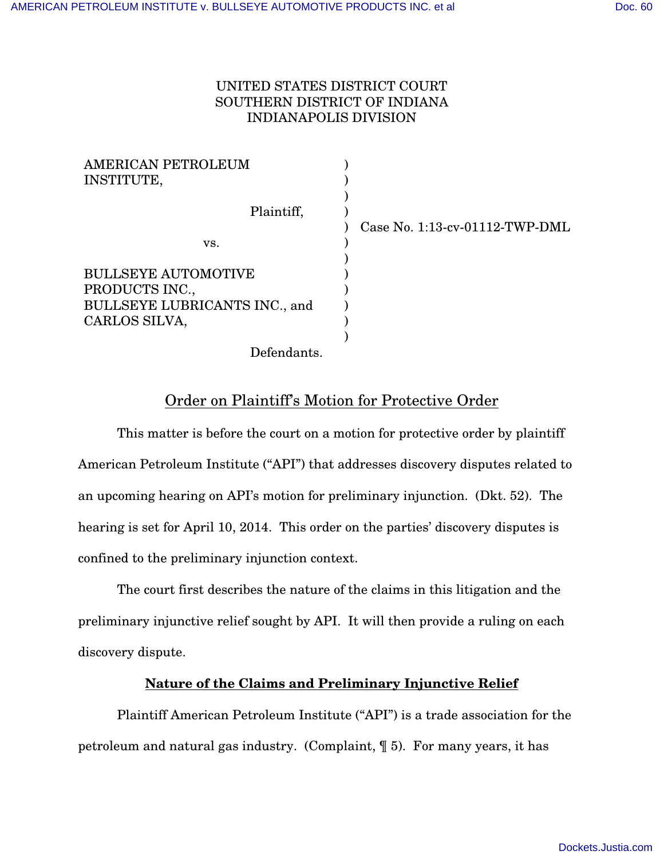## UNITED STATES DISTRICT COURT SOUTHERN DISTRICT OF INDIANA INDIANAPOLIS DIVISION

) ) ) )

 $\lambda$  $\lambda$ ) ) ) ) )

| AMERICAN PETROLEUM<br>INSTITUTE,                                                               |
|------------------------------------------------------------------------------------------------|
| Plaintiff,                                                                                     |
| VS.                                                                                            |
| <b>BULLSEYE AUTOMOTIVE</b><br>PRODUCTS INC.,<br>BULLSEYE LUBRICANTS INC., and<br>CARLOS SILVA, |
| n e 1 i                                                                                        |

) Case No. 1:13-cv-01112-TWP-DML

Defendants.

# Order on Plaintiff's Motion for Protective Order

 This matter is before the court on a motion for protective order by plaintiff American Petroleum Institute ("API") that addresses discovery disputes related to an upcoming hearing on API's motion for preliminary injunction. (Dkt. 52). The hearing is set for April 10, 2014. This order on the parties' discovery disputes is confined to the preliminary injunction context.

 The court first describes the nature of the claims in this litigation and the preliminary injunctive relief sought by API. It will then provide a ruling on each discovery dispute.

## **Nature of the Claims and Preliminary Injunctive Relief**

Plaintiff American Petroleum Institute ("API") is a trade association for the petroleum and natural gas industry. (Complaint, ¶ 5). For many years, it has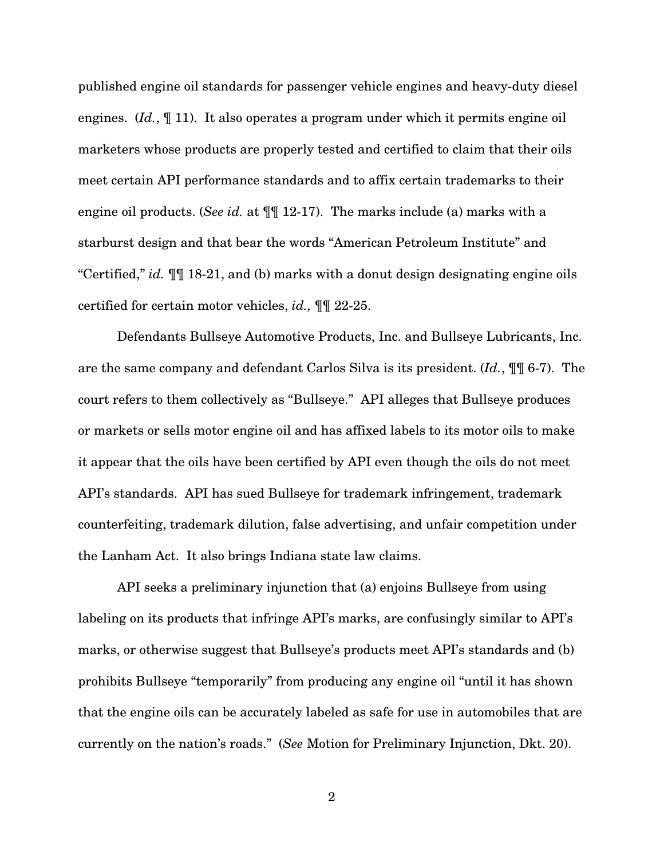published engine oil standards for passenger vehicle engines and heavy-duty diesel engines. (*Id.*, ¶ 11). It also operates a program under which it permits engine oil marketers whose products are properly tested and certified to claim that their oils meet certain API performance standards and to affix certain trademarks to their engine oil products. (*See id.* at ¶¶ 12-17). The marks include (a) marks with a starburst design and that bear the words "American Petroleum Institute" and "Certified," *id.* ¶¶ 18-21, and (b) marks with a donut design designating engine oils certified for certain motor vehicles, *id.,* ¶¶ 22-25.

Defendants Bullseye Automotive Products, Inc. and Bullseye Lubricants, Inc. are the same company and defendant Carlos Silva is its president. (*Id.*, ¶¶ 6-7). The court refers to them collectively as "Bullseye." API alleges that Bullseye produces or markets or sells motor engine oil and has affixed labels to its motor oils to make it appear that the oils have been certified by API even though the oils do not meet API's standards. API has sued Bullseye for trademark infringement, trademark counterfeiting, trademark dilution, false advertising, and unfair competition under the Lanham Act. It also brings Indiana state law claims.

API seeks a preliminary injunction that (a) enjoins Bullseye from using labeling on its products that infringe API's marks, are confusingly similar to API's marks, or otherwise suggest that Bullseye's products meet API's standards and (b) prohibits Bullseye "temporarily" from producing any engine oil "until it has shown that the engine oils can be accurately labeled as safe for use in automobiles that are currently on the nation's roads." (*See* Motion for Preliminary Injunction, Dkt. 20).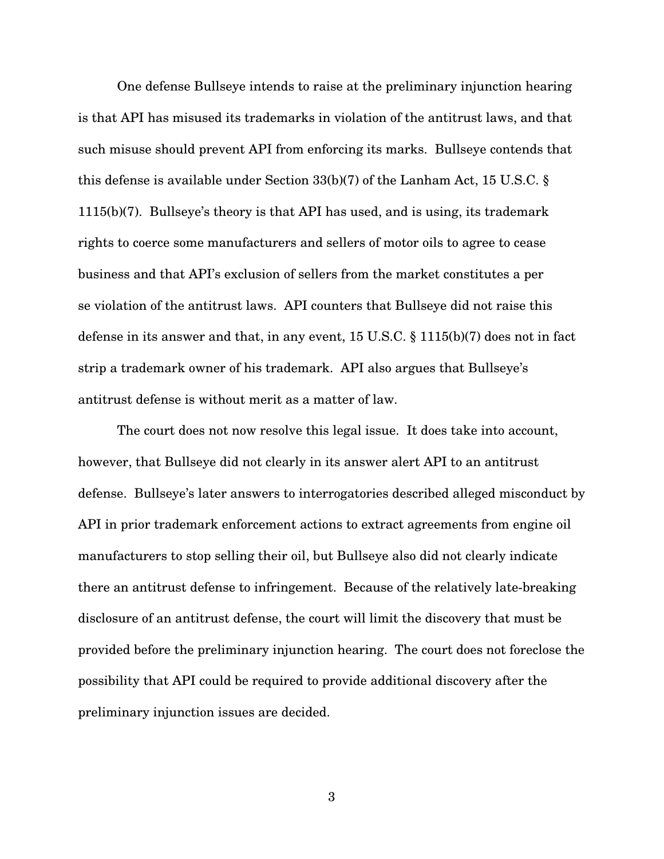One defense Bullseye intends to raise at the preliminary injunction hearing is that API has misused its trademarks in violation of the antitrust laws, and that such misuse should prevent API from enforcing its marks. Bullseye contends that this defense is available under Section 33(b)(7) of the Lanham Act, 15 U.S.C. § 1115(b)(7). Bullseye's theory is that API has used, and is using, its trademark rights to coerce some manufacturers and sellers of motor oils to agree to cease business and that API's exclusion of sellers from the market constitutes a per se violation of the antitrust laws. API counters that Bullseye did not raise this defense in its answer and that, in any event, 15 U.S.C. § 1115(b)(7) does not in fact strip a trademark owner of his trademark. API also argues that Bullseye's antitrust defense is without merit as a matter of law.

 The court does not now resolve this legal issue. It does take into account, however, that Bullseye did not clearly in its answer alert API to an antitrust defense. Bullseye's later answers to interrogatories described alleged misconduct by API in prior trademark enforcement actions to extract agreements from engine oil manufacturers to stop selling their oil, but Bullseye also did not clearly indicate there an antitrust defense to infringement. Because of the relatively late-breaking disclosure of an antitrust defense, the court will limit the discovery that must be provided before the preliminary injunction hearing. The court does not foreclose the possibility that API could be required to provide additional discovery after the preliminary injunction issues are decided.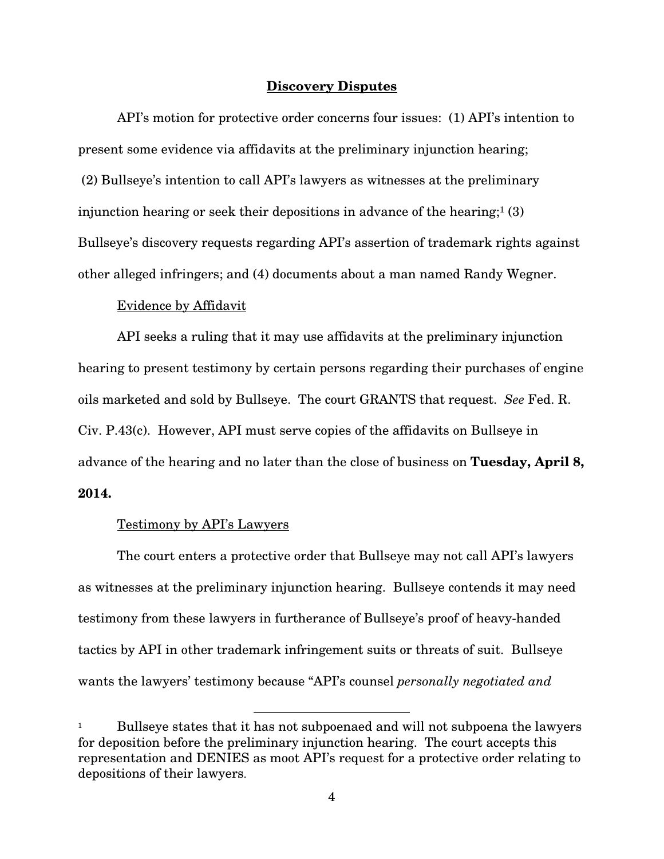#### **Discovery Disputes**

 API's motion for protective order concerns four issues: (1) API's intention to present some evidence via affidavits at the preliminary injunction hearing; (2) Bullseye's intention to call API's lawyers as witnesses at the preliminary injunction hearing or seek their depositions in advance of the hearing;<sup>1</sup> (3) Bullseye's discovery requests regarding API's assertion of trademark rights against other alleged infringers; and (4) documents about a man named Randy Wegner.

## Evidence by Affidavit

 API seeks a ruling that it may use affidavits at the preliminary injunction hearing to present testimony by certain persons regarding their purchases of engine oils marketed and sold by Bullseye. The court GRANTS that request. *See* Fed. R. Civ. P.43(c). However, API must serve copies of the affidavits on Bullseye in advance of the hearing and no later than the close of business on **Tuesday, April 8, 2014.** 

## Testimony by API's Lawyers

 The court enters a protective order that Bullseye may not call API's lawyers as witnesses at the preliminary injunction hearing. Bullseye contends it may need testimony from these lawyers in furtherance of Bullseye's proof of heavy-handed tactics by API in other trademark infringement suits or threats of suit. Bullseye wants the lawyers' testimony because "API's counsel *personally negotiated and* 

 $\overline{a}$ 

<sup>1</sup> Bullseye states that it has not subpoenaed and will not subpoena the lawyers for deposition before the preliminary injunction hearing. The court accepts this representation and DENIES as moot API's request for a protective order relating to depositions of their lawyers.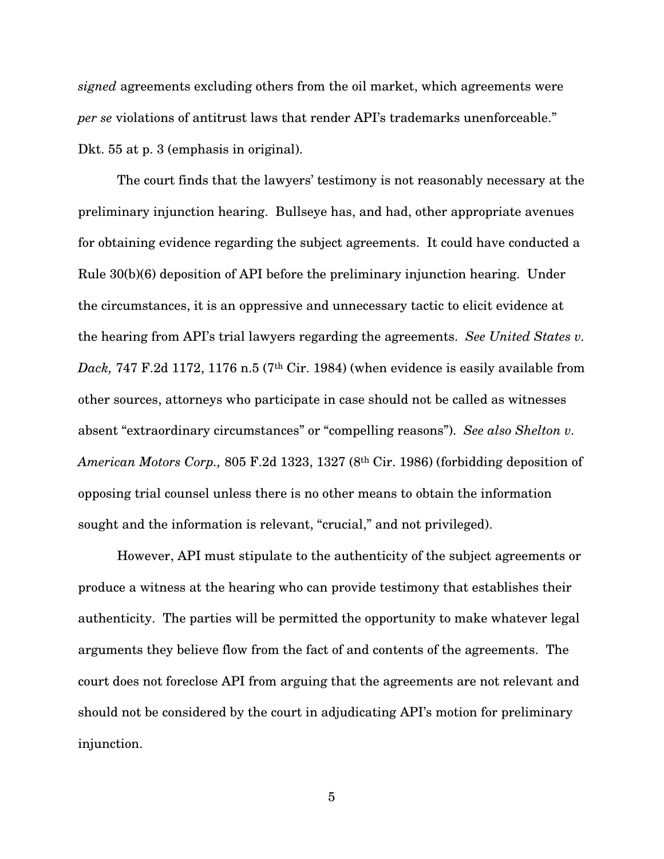*signed* agreements excluding others from the oil market, which agreements were *per se* violations of antitrust laws that render API's trademarks unenforceable." Dkt. 55 at p. 3 (emphasis in original).

The court finds that the lawyers' testimony is not reasonably necessary at the preliminary injunction hearing. Bullseye has, and had, other appropriate avenues for obtaining evidence regarding the subject agreements. It could have conducted a Rule 30(b)(6) deposition of API before the preliminary injunction hearing. Under the circumstances, it is an oppressive and unnecessary tactic to elicit evidence at the hearing from API's trial lawyers regarding the agreements. *See United States v. Dack,* 747 F.2d 1172, 1176 n.5 (7th Cir. 1984) (when evidence is easily available from other sources, attorneys who participate in case should not be called as witnesses absent "extraordinary circumstances" or "compelling reasons"). *See also Shelton v. American Motors Corp.,* 805 F.2d 1323, 1327 (8th Cir. 1986) (forbidding deposition of opposing trial counsel unless there is no other means to obtain the information sought and the information is relevant, "crucial," and not privileged).

However, API must stipulate to the authenticity of the subject agreements or produce a witness at the hearing who can provide testimony that establishes their authenticity. The parties will be permitted the opportunity to make whatever legal arguments they believe flow from the fact of and contents of the agreements. The court does not foreclose API from arguing that the agreements are not relevant and should not be considered by the court in adjudicating API's motion for preliminary injunction.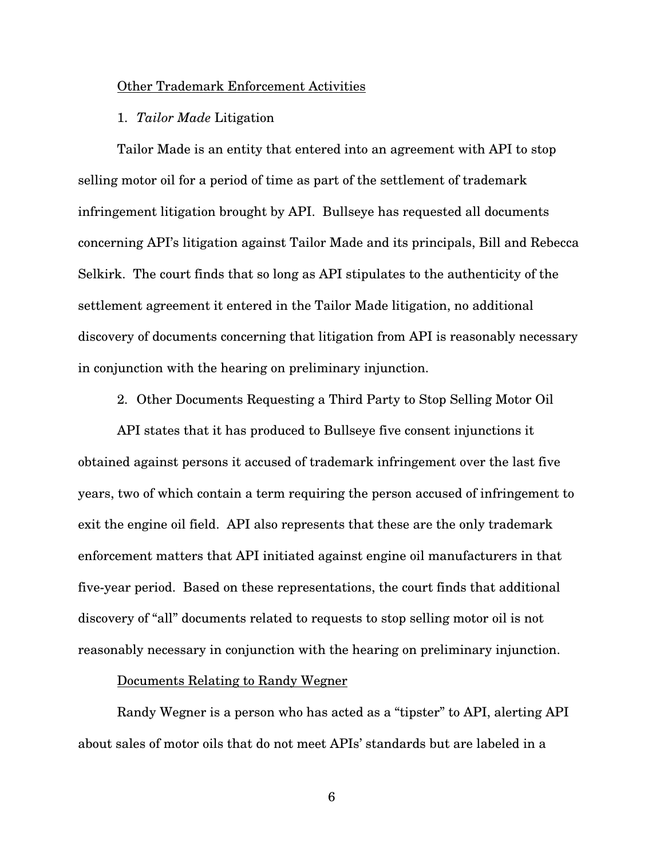#### Other Trademark Enforcement Activities

#### 1. *Tailor Made* Litigation

Tailor Made is an entity that entered into an agreement with API to stop selling motor oil for a period of time as part of the settlement of trademark infringement litigation brought by API. Bullseye has requested all documents concerning API's litigation against Tailor Made and its principals, Bill and Rebecca Selkirk. The court finds that so long as API stipulates to the authenticity of the settlement agreement it entered in the Tailor Made litigation, no additional discovery of documents concerning that litigation from API is reasonably necessary in conjunction with the hearing on preliminary injunction.

2. Other Documents Requesting a Third Party to Stop Selling Motor Oil

API states that it has produced to Bullseye five consent injunctions it obtained against persons it accused of trademark infringement over the last five years, two of which contain a term requiring the person accused of infringement to exit the engine oil field. API also represents that these are the only trademark enforcement matters that API initiated against engine oil manufacturers in that five-year period. Based on these representations, the court finds that additional discovery of "all" documents related to requests to stop selling motor oil is not reasonably necessary in conjunction with the hearing on preliminary injunction.

## Documents Relating to Randy Wegner

Randy Wegner is a person who has acted as a "tipster" to API, alerting API about sales of motor oils that do not meet APIs' standards but are labeled in a